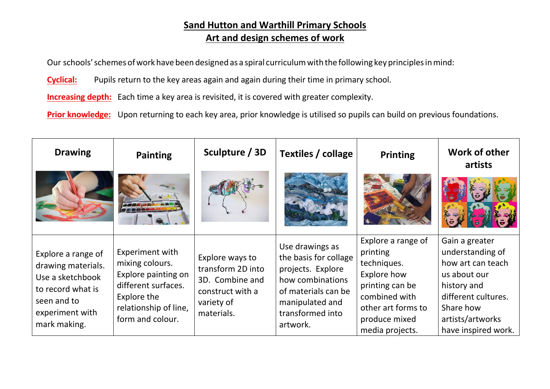### **Sand Hutton and Warthill Primary Schools Art and design schemes of work**

Our schools' schemes of work have been designed as a spiral curriculum with the following key principles in mind:

**Cyclical:** Pupils return to the key areas again and again during their time in primary school.

**Increasing depth:** Each time a key area is revisited, it is covered with greater complexity.

**Prior knowledge:** Upon returning to each key area, prior knowledge is utilised so pupils can build on previous foundations.

| <b>Drawing</b>                                                                                                                      | <b>Painting</b>                                                                                                                              | Sculpture / 3D                                                                                          | Textiles / collage                                                                                                                                          | <b>Printing</b>                                                                                                                                            | Work of other<br>artists                                                                                                                                              |
|-------------------------------------------------------------------------------------------------------------------------------------|----------------------------------------------------------------------------------------------------------------------------------------------|---------------------------------------------------------------------------------------------------------|-------------------------------------------------------------------------------------------------------------------------------------------------------------|------------------------------------------------------------------------------------------------------------------------------------------------------------|-----------------------------------------------------------------------------------------------------------------------------------------------------------------------|
|                                                                                                                                     |                                                                                                                                              |                                                                                                         |                                                                                                                                                             |                                                                                                                                                            |                                                                                                                                                                       |
| Explore a range of<br>drawing materials.<br>Use a sketchbook<br>to record what is<br>seen and to<br>experiment with<br>mark making. | Experiment with<br>mixing colours.<br>Explore painting on<br>different surfaces.<br>Explore the<br>relationship of line,<br>form and colour. | Explore ways to<br>transform 2D into<br>3D. Combine and<br>construct with a<br>variety of<br>materials. | Use drawings as<br>the basis for collage<br>projects. Explore<br>how combinations<br>of materials can be<br>manipulated and<br>transformed into<br>artwork. | Explore a range of<br>printing<br>techniques.<br>Explore how<br>printing can be<br>combined with<br>other art forms to<br>produce mixed<br>media projects. | Gain a greater<br>understanding of<br>how art can teach<br>us about our<br>history and<br>different cultures.<br>Share how<br>artists/artworks<br>have inspired work. |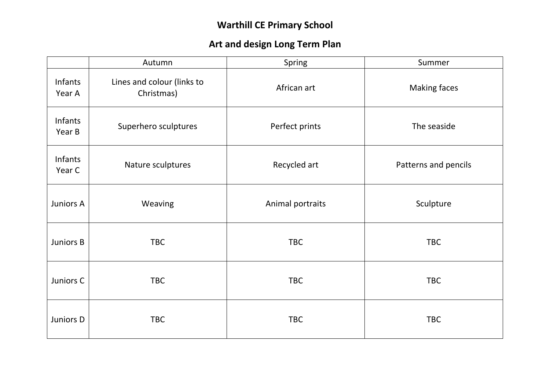# **Warthill CE Primary School**

## **Art and design Long Term Plan**

|                   | Autumn                                   | Spring           | Summer               |
|-------------------|------------------------------------------|------------------|----------------------|
| Infants<br>Year A | Lines and colour (links to<br>Christmas) | African art      | <b>Making faces</b>  |
| Infants<br>Year B | Superhero sculptures                     | Perfect prints   | The seaside          |
| Infants<br>Year C | Nature sculptures                        | Recycled art     | Patterns and pencils |
| Juniors A         | Weaving                                  | Animal portraits | Sculpture            |
| Juniors B         | <b>TBC</b>                               | <b>TBC</b>       | <b>TBC</b>           |
| Juniors C         | <b>TBC</b>                               | <b>TBC</b>       | <b>TBC</b>           |
| Juniors D         | <b>TBC</b>                               | <b>TBC</b>       | <b>TBC</b>           |